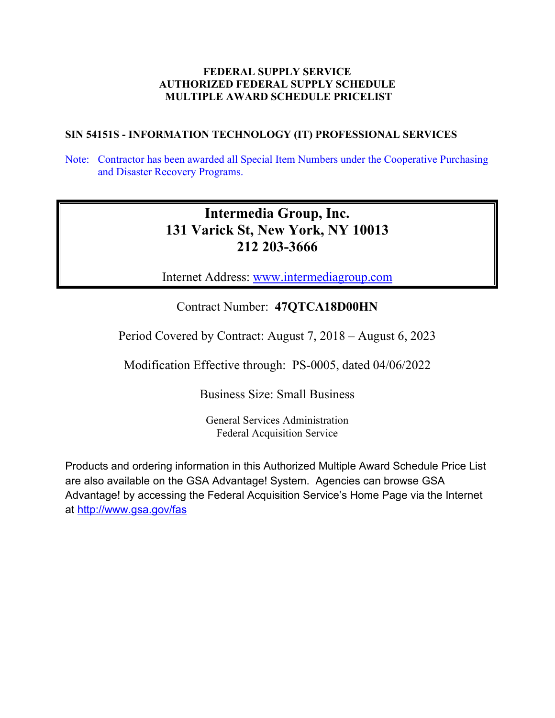# **FEDERAL SUPPLY SERVICE AUTHORIZED FEDERAL SUPPLY SCHEDULE MULTIPLE AWARD SCHEDULE PRICELIST**

# **SIN 54151S - INFORMATION TECHNOLOGY (IT) PROFESSIONAL SERVICES**

Note: Contractor has been awarded all Special Item Numbers under the Cooperative Purchasing and Disaster Recovery Programs.

# **Intermedia Group, Inc. 131 Varick St, New York, NY 10013 212 203-3666**

Internet Address: www.intermediagroup.com

# Contract Number: **47QTCA18D00HN**

Period Covered by Contract: August 7, 2018 – August 6, 2023

Modification Effective through: PS-0005, dated 04/06/2022

Business Size: Small Business

General Services Administration Federal Acquisition Service

Products and ordering information in this Authorized Multiple Award Schedule Price List are also available on the GSA Advantage! System. Agencies can browse GSA Advantage! by accessing the Federal Acquisition Service's Home Page via the Internet at<http://www.gsa.gov/fas>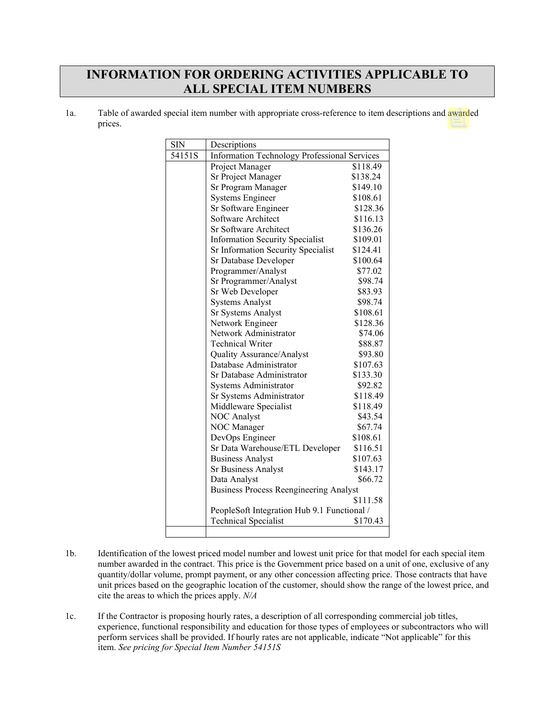# **INFORMATION FOR ORDERING ACTIVITIES APPLICABLE TO ALL SPECIAL ITEM NUMBERS**

| la. | Table of awarded special item number with appropriate cross-reference to item descriptions and awarded |
|-----|--------------------------------------------------------------------------------------------------------|
|     | prices.                                                                                                |

| <b>SIN</b> | Descriptions                                        |          |  |
|------------|-----------------------------------------------------|----------|--|
| 54151S     | <b>Information Technology Professional Services</b> |          |  |
|            | Project Manager                                     | \$118.49 |  |
|            | Sr Project Manager                                  | \$138.24 |  |
|            | Sr Program Manager                                  | \$149.10 |  |
|            | <b>Systems Engineer</b>                             | \$108.61 |  |
|            | Sr Software Engineer                                | \$128.36 |  |
|            | Software Architect                                  | \$116.13 |  |
|            | <b>Sr Software Architect</b>                        | \$136.26 |  |
|            | <b>Information Security Specialist</b>              | \$109.01 |  |
|            | Sr Information Security Specialist                  | \$124.41 |  |
|            | Sr Database Developer                               | \$100.64 |  |
|            | Programmer/Analyst                                  | \$77.02  |  |
|            | Sr Programmer/Analyst                               | \$98.74  |  |
|            | Sr Web Developer                                    | \$83.93  |  |
|            | <b>Systems Analyst</b>                              | \$98.74  |  |
|            | Sr Systems Analyst                                  | \$108.61 |  |
|            | Network Engineer                                    | \$128.36 |  |
|            | Network Administrator                               | \$74.06  |  |
|            | <b>Technical Writer</b>                             | \$88.87  |  |
|            | Quality Assurance/Analyst                           | \$93.80  |  |
|            | Database Administrator                              | \$107.63 |  |
|            | Sr Database Administrator                           | \$133.30 |  |
|            | Systems Administrator                               | \$92.82  |  |
|            | Sr Systems Administrator                            | \$118.49 |  |
|            | Middleware Specialist                               | \$118.49 |  |
|            | <b>NOC Analyst</b>                                  | \$43.54  |  |
|            | NOC Manager                                         | \$67.74  |  |
|            | DevOps Engineer                                     | \$108.61 |  |
|            | Sr Data Warehouse/ETL Developer                     | \$116.51 |  |
|            | <b>Business Analyst</b>                             | \$107.63 |  |
|            | <b>Sr Business Analyst</b>                          | \$143.17 |  |
|            | Data Analyst                                        | \$66.72  |  |
|            | <b>Business Process Reengineering Analyst</b>       |          |  |
|            | \$111.58                                            |          |  |
|            | PeopleSoft Integration Hub 9.1 Functional /         |          |  |
|            | <b>Technical Specialist</b>                         | \$170.43 |  |

- 1b. Identification of the lowest priced model number and lowest unit price for that model for each special item number awarded in the contract. This price is the Government price based on a unit of one, exclusive of any quantity/dollar volume, prompt payment, or any other concession affecting price. Those contracts that have unit prices based on the geographic location of the customer, should show the range of the lowest price, and cite the areas to which the prices apply. *N/A*
- 1c. If the Contractor is proposing hourly rates, a description of all corresponding commercial job titles, experience, functional responsibility and education for those types of employees or subcontractors who will perform services shall be provided. If hourly rates are not applicable, indicate "Not applicable" for this item. *See pricing for Special Item Number 54151S*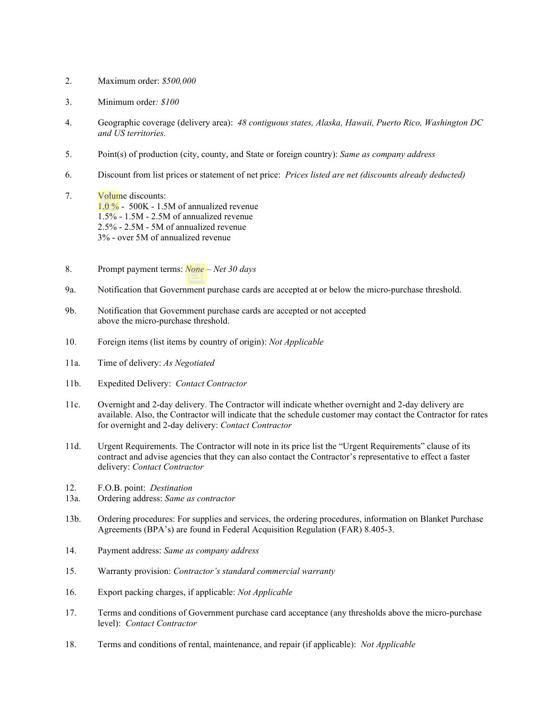- 2. Maximum order: *\$500,000*
- 3. Minimum order*: \$100*
- 4. Geographic coverage (delivery area): *48 contiguous states, Alaska, Hawaii, Puerto Rico, Washington DC and US territories.*
- 5. Point(s) of production (city, county, and State or foreign country): *Same as company address*
- 6. Discount from list prices or statement of net price: *Prices listed are net (discounts already deducted)*
- 7. Volume discounts: 1.0 % - 500K - 1.5M of annualized revenue 1.5% - 1.5M - 2.5M of annualized revenue 2.5% - 2.5M - 5M of annualized revenue 3% - over 5M of annualized revenue
- 8. Prompt payment terms: *None – Net 30 days*
- 9a. Notification that Government purchase cards are accepted at or below the micro-purchase threshold.
- 9b. Notification that Government purchase cards are accepted or not accepted above the micro-purchase threshold.
- 10. Foreign items (list items by country of origin): *Not Applicable*
- 11a. Time of delivery: *As Negotiated*
- 11b. Expedited Delivery: *Contact Contractor*
- 11c. Overnight and 2-day delivery. The Contractor will indicate whether overnight and 2-day delivery are available. Also, the Contractor will indicate that the schedule customer may contact the Contractor for rates for overnight and 2-day delivery: *Contact Contractor*
- 11d. Urgent Requirements. The Contractor will note in its price list the "Urgent Requirements" clause of its contract and advise agencies that they can also contact the Contractor's representative to effect a faster delivery: *Contact Contractor*
- 12. F.O.B. point: *Destination*
- 13a. Ordering address: *Same as contractor*
- 13b. Ordering procedures: For supplies and services, the ordering procedures, information on Blanket Purchase Agreements (BPA's) are found in Federal Acquisition Regulation (FAR) 8.405-3.
- 14. Payment address: *Same as company address*
- 15. Warranty provision: *Contractor's standard commercial warranty*
- 16. Export packing charges, if applicable: *Not Applicable*
- 17. Terms and conditions of Government purchase card acceptance (any thresholds above the micro-purchase level): *Contact Contractor*
- 18. Terms and conditions of rental, maintenance, and repair (if applicable): *Not Applicable*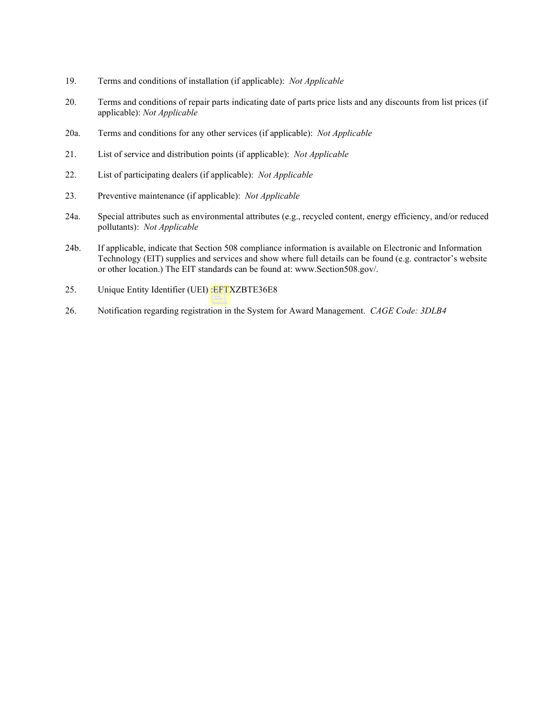- 19. Terms and conditions of installation (if applicable): *Not Applicable*
- 20. Terms and conditions of repair parts indicating date of parts price lists and any discounts from list prices (if applicable): *Not Applicable*
- 20a. Terms and conditions for any other services (if applicable): *Not Applicable*
- 21. List of service and distribution points (if applicable): *Not Applicable*
- 22. List of participating dealers (if applicable): *Not Applicable*
- 23. Preventive maintenance (if applicable): *Not Applicable*
- 24a. Special attributes such as environmental attributes (e.g., recycled content, energy efficiency, and/or reduced pollutants): *Not Applicable*
- 24b. If applicable, indicate that Section 508 compliance information is available on Electronic and Information Technology (EIT) supplies and services and show where full details can be found (e.g. contractor's website or other location.) The EIT standards can be found at: www.Section508.gov/.
- 25. Unique Entity Identifier (UEI) :EFTXZBTE36E8
- 26. Notification regarding registration in the System for Award Management. *CAGE Code: 3DLB4*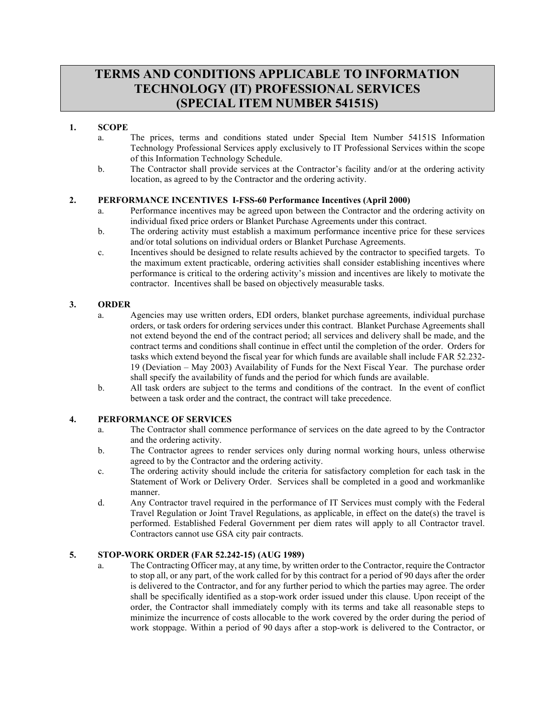# **TERMS AND CONDITIONS APPLICABLE TO INFORMATION TECHNOLOGY (IT) PROFESSIONAL SERVICES (SPECIAL ITEM NUMBER 54151S)**

### **1. SCOPE**

- a. The prices, terms and conditions stated under Special Item Number 54151S Information Technology Professional Services apply exclusively to IT Professional Services within the scope of this Information Technology Schedule.
- b. The Contractor shall provide services at the Contractor's facility and/or at the ordering activity location, as agreed to by the Contractor and the ordering activity.

#### **2. PERFORMANCE INCENTIVES I-FSS-60 Performance Incentives (April 2000)**

- a. Performance incentives may be agreed upon between the Contractor and the ordering activity on individual fixed price orders or Blanket Purchase Agreements under this contract.
- b. The ordering activity must establish a maximum performance incentive price for these services and/or total solutions on individual orders or Blanket Purchase Agreements.
- c. Incentives should be designed to relate results achieved by the contractor to specified targets. To the maximum extent practicable, ordering activities shall consider establishing incentives where performance is critical to the ordering activity's mission and incentives are likely to motivate the contractor. Incentives shall be based on objectively measurable tasks.

#### **3. ORDER**

- a. Agencies may use written orders, EDI orders, blanket purchase agreements, individual purchase orders, or task orders for ordering services under this contract. Blanket Purchase Agreements shall not extend beyond the end of the contract period; all services and delivery shall be made, and the contract terms and conditions shall continue in effect until the completion of the order. Orders for tasks which extend beyond the fiscal year for which funds are available shall include FAR 52.232- 19 (Deviation – May 2003) Availability of Funds for the Next Fiscal Year. The purchase order shall specify the availability of funds and the period for which funds are available.
- b. All task orders are subject to the terms and conditions of the contract. In the event of conflict between a task order and the contract, the contract will take precedence.

#### **4. PERFORMANCE OF SERVICES**

- a. The Contractor shall commence performance of services on the date agreed to by the Contractor and the ordering activity.
- b. The Contractor agrees to render services only during normal working hours, unless otherwise agreed to by the Contractor and the ordering activity.
- c. The ordering activity should include the criteria for satisfactory completion for each task in the Statement of Work or Delivery Order. Services shall be completed in a good and workmanlike manner.
- d. Any Contractor travel required in the performance of IT Services must comply with the Federal Travel Regulation or Joint Travel Regulations, as applicable, in effect on the date(s) the travel is performed. Established Federal Government per diem rates will apply to all Contractor travel. Contractors cannot use GSA city pair contracts.

#### **5. STOP-WORK ORDER (FAR 52.242-15) (AUG 1989)**

a. The Contracting Officer may, at any time, by written order to the Contractor, require the Contractor to stop all, or any part, of the work called for by this contract for a period of 90 days after the order is delivered to the Contractor, and for any further period to which the parties may agree. The order shall be specifically identified as a stop-work order issued under this clause. Upon receipt of the order, the Contractor shall immediately comply with its terms and take all reasonable steps to minimize the incurrence of costs allocable to the work covered by the order during the period of work stoppage. Within a period of 90 days after a stop-work is delivered to the Contractor, or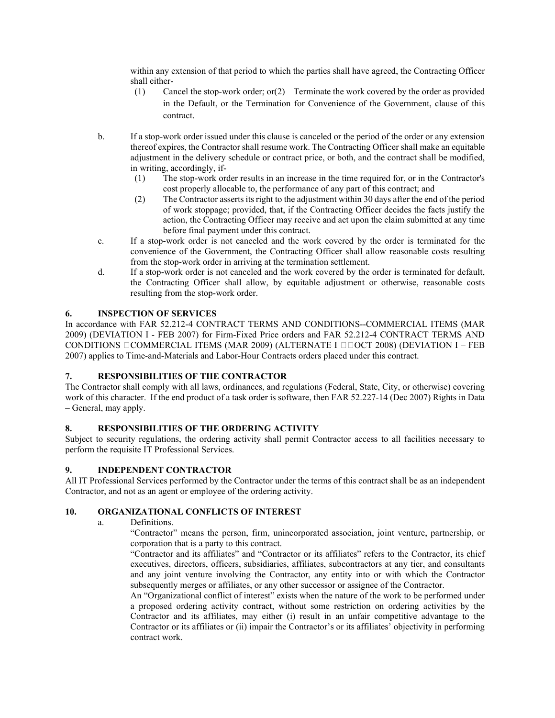within any extension of that period to which the parties shall have agreed, the Contracting Officer shall either-

- (1) Cancel the stop-work order; or(2) Terminate the work covered by the order as provided in the Default, or the Termination for Convenience of the Government, clause of this contract.
- b. If a stop-work order issued under this clause is canceled or the period of the order or any extension thereof expires, the Contractor shall resume work. The Contracting Officer shall make an equitable adjustment in the delivery schedule or contract price, or both, and the contract shall be modified, in writing, accordingly, if-
	- (1) The stop-work order results in an increase in the time required for, or in the Contractor's cost properly allocable to, the performance of any part of this contract; and
	- (2) The Contractor asserts its right to the adjustment within 30 days after the end of the period of work stoppage; provided, that, if the Contracting Officer decides the facts justify the action, the Contracting Officer may receive and act upon the claim submitted at any time before final payment under this contract.
- c. If a stop-work order is not canceled and the work covered by the order is terminated for the convenience of the Government, the Contracting Officer shall allow reasonable costs resulting from the stop-work order in arriving at the termination settlement.
- d. If a stop-work order is not canceled and the work covered by the order is terminated for default, the Contracting Officer shall allow, by equitable adjustment or otherwise, reasonable costs resulting from the stop-work order.

# **6. INSPECTION OF SERVICES**

In accordance with FAR 52.212-4 CONTRACT TERMS AND CONDITIONS--COMMERCIAL ITEMS (MAR 2009) (DEVIATION I - FEB 2007) for Firm-Fixed Price orders and FAR 52.212-4 CONTRACT TERMS AND CONDITIONS  $\Box$ COMMERCIAL ITEMS (MAR 2009) (ALTERNATE I  $\Box$  $\Box$ OCT 2008) (DEVIATION I – FEB 2007) applies to Time-and-Materials and Labor-Hour Contracts orders placed under this contract.

# **7. RESPONSIBILITIES OF THE CONTRACTOR**

The Contractor shall comply with all laws, ordinances, and regulations (Federal, State, City, or otherwise) covering work of this character. If the end product of a task order is software, then FAR 52.227-14 (Dec 2007) Rights in Data – General, may apply.

# **8. RESPONSIBILITIES OF THE ORDERING ACTIVITY**

Subject to security regulations, the ordering activity shall permit Contractor access to all facilities necessary to perform the requisite IT Professional Services.

#### **9. INDEPENDENT CONTRACTOR**

All IT Professional Services performed by the Contractor under the terms of this contract shall be as an independent Contractor, and not as an agent or employee of the ordering activity.

#### **10. ORGANIZATIONAL CONFLICTS OF INTEREST**

a. Definitions.

"Contractor" means the person, firm, unincorporated association, joint venture, partnership, or corporation that is a party to this contract.

"Contractor and its affiliates" and "Contractor or its affiliates" refers to the Contractor, its chief executives, directors, officers, subsidiaries, affiliates, subcontractors at any tier, and consultants and any joint venture involving the Contractor, any entity into or with which the Contractor subsequently merges or affiliates, or any other successor or assignee of the Contractor.

An "Organizational conflict of interest" exists when the nature of the work to be performed under a proposed ordering activity contract, without some restriction on ordering activities by the Contractor and its affiliates, may either (i) result in an unfair competitive advantage to the Contractor or its affiliates or (ii) impair the Contractor's or its affiliates' objectivity in performing contract work.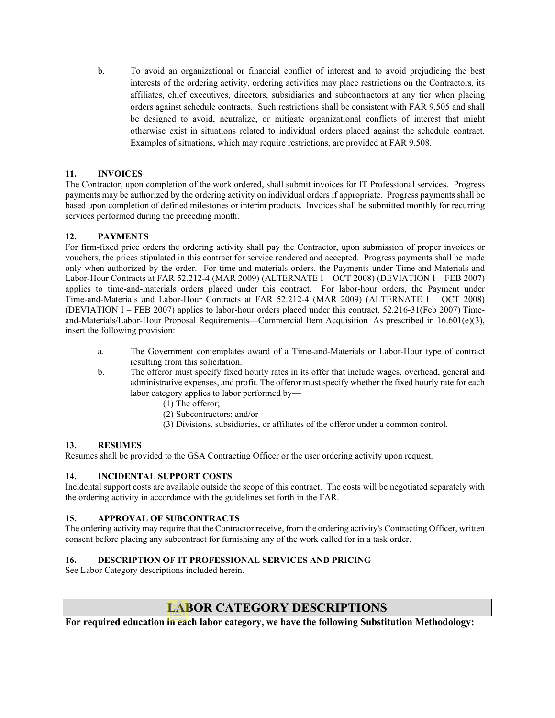b. To avoid an organizational or financial conflict of interest and to avoid prejudicing the best interests of the ordering activity, ordering activities may place restrictions on the Contractors, its affiliates, chief executives, directors, subsidiaries and subcontractors at any tier when placing orders against schedule contracts. Such restrictions shall be consistent with FAR 9.505 and shall be designed to avoid, neutralize, or mitigate organizational conflicts of interest that might otherwise exist in situations related to individual orders placed against the schedule contract. Examples of situations, which may require restrictions, are provided at FAR 9.508.

### **11. INVOICES**

The Contractor, upon completion of the work ordered, shall submit invoices for IT Professional services. Progress payments may be authorized by the ordering activity on individual orders if appropriate. Progress payments shall be based upon completion of defined milestones or interim products. Invoices shall be submitted monthly for recurring services performed during the preceding month.

# **12. PAYMENTS**

For firm-fixed price orders the ordering activity shall pay the Contractor, upon submission of proper invoices or vouchers, the prices stipulated in this contract for service rendered and accepted. Progress payments shall be made only when authorized by the order. For time-and-materials orders, the Payments under Time-and-Materials and Labor-Hour Contracts at FAR 52.212-4 (MAR 2009) (ALTERNATE I – OCT 2008) (DEVIATION I – FEB 2007) applies to time-and-materials orders placed under this contract. For labor-hour orders, the Payment under Time-and-Materials and Labor-Hour Contracts at FAR 52.212-4 (MAR 2009) (ALTERNATE I – OCT 2008) (DEVIATION I – FEB 2007) applies to labor-hour orders placed under this contract. 52.216-31(Feb 2007) Timeand-Materials/Labor-Hour Proposal Requirements**—**Commercial Item Acquisition. As prescribed in 16.601(e)(3), insert the following provision:

- a. The Government contemplates award of a Time-and-Materials or Labor-Hour type of contract resulting from this solicitation.
- b. The offeror must specify fixed hourly rates in its offer that include wages, overhead, general and administrative expenses, and profit. The offeror must specify whether the fixed hourly rate for each labor category applies to labor performed by—
	- (1) The offeror;
	- (2) Subcontractors; and/or
	- (3) Divisions, subsidiaries, or affiliates of the offeror under a common control.

#### **13. RESUMES**

Resumes shall be provided to the GSA Contracting Officer or the user ordering activity upon request.

#### **14. INCIDENTAL SUPPORT COSTS**

Incidental support costs are available outside the scope of this contract. The costs will be negotiated separately with the ordering activity in accordance with the guidelines set forth in the FAR.

#### **15. APPROVAL OF SUBCONTRACTS**

The ordering activity may require that the Contractor receive, from the ordering activity's Contracting Officer, written consent before placing any subcontract for furnishing any of the work called for in a task order.

# **16. DESCRIPTION OF IT PROFESSIONAL SERVICES AND PRICING**

See Labor Category descriptions included herein.

# **LABOR CATEGORY DESCRIPTIONS**

**For required education in each labor category, we have the following Substitution Methodology:**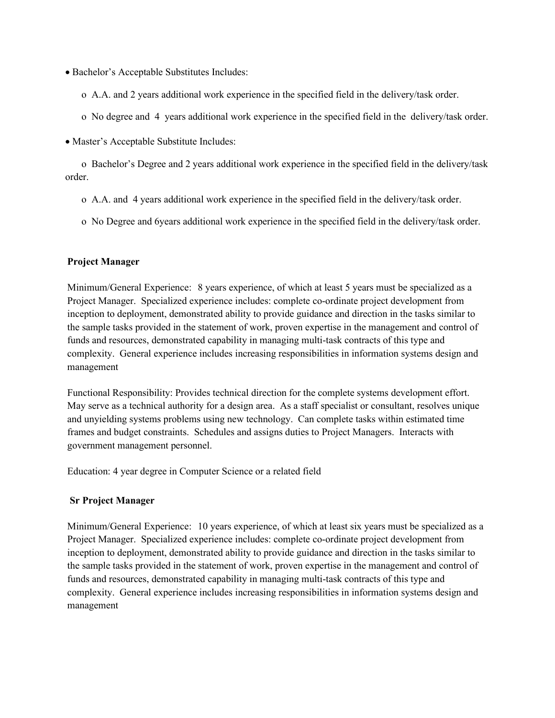- Bachelor's Acceptable Substitutes Includes:
	- o A.A. and 2 years additional work experience in the specified field in the delivery/task order.
	- o No degree and 4 years additional work experience in the specified field in the delivery/task order.
- Master's Acceptable Substitute Includes:

o Bachelor's Degree and 2 years additional work experience in the specified field in the delivery/task order.

- o A.A. and 4 years additional work experience in the specified field in the delivery/task order.
- o No Degree and 6years additional work experience in the specified field in the delivery/task order.

### **Project Manager**

Minimum/General Experience: 8 years experience, of which at least 5 years must be specialized as a Project Manager. Specialized experience includes: complete co-ordinate project development from inception to deployment, demonstrated ability to provide guidance and direction in the tasks similar to the sample tasks provided in the statement of work, proven expertise in the management and control of funds and resources, demonstrated capability in managing multi-task contracts of this type and complexity. General experience includes increasing responsibilities in information systems design and management

Functional Responsibility: Provides technical direction for the complete systems development effort. May serve as a technical authority for a design area. As a staff specialist or consultant, resolves unique and unyielding systems problems using new technology. Can complete tasks within estimated time frames and budget constraints. Schedules and assigns duties to Project Managers. Interacts with government management personnel.

Education: 4 year degree in Computer Science or a related field

#### **Sr Project Manager**

Minimum/General Experience: 10 years experience, of which at least six years must be specialized as a Project Manager. Specialized experience includes: complete co-ordinate project development from inception to deployment, demonstrated ability to provide guidance and direction in the tasks similar to the sample tasks provided in the statement of work, proven expertise in the management and control of funds and resources, demonstrated capability in managing multi-task contracts of this type and complexity. General experience includes increasing responsibilities in information systems design and management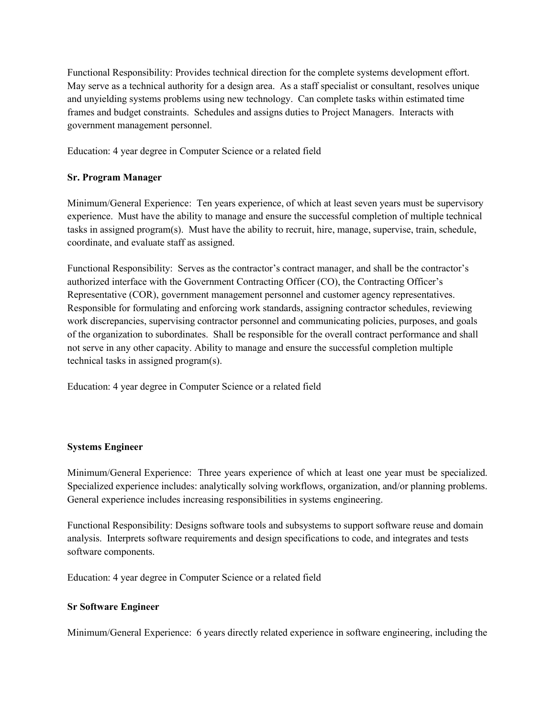Functional Responsibility: Provides technical direction for the complete systems development effort. May serve as a technical authority for a design area. As a staff specialist or consultant, resolves unique and unyielding systems problems using new technology. Can complete tasks within estimated time frames and budget constraints. Schedules and assigns duties to Project Managers. Interacts with government management personnel.

Education: 4 year degree in Computer Science or a related field

# **Sr. Program Manager**

Minimum/General Experience: Ten years experience, of which at least seven years must be supervisory experience. Must have the ability to manage and ensure the successful completion of multiple technical tasks in assigned program(s). Must have the ability to recruit, hire, manage, supervise, train, schedule, coordinate, and evaluate staff as assigned.

Functional Responsibility: Serves as the contractor's contract manager, and shall be the contractor's authorized interface with the Government Contracting Officer (CO), the Contracting Officer's Representative (COR), government management personnel and customer agency representatives. Responsible for formulating and enforcing work standards, assigning contractor schedules, reviewing work discrepancies, supervising contractor personnel and communicating policies, purposes, and goals of the organization to subordinates. Shall be responsible for the overall contract performance and shall not serve in any other capacity. Ability to manage and ensure the successful completion multiple technical tasks in assigned program(s).

Education: 4 year degree in Computer Science or a related field

# **Systems Engineer**

Minimum/General Experience: Three years experience of which at least one year must be specialized. Specialized experience includes: analytically solving workflows, organization, and/or planning problems. General experience includes increasing responsibilities in systems engineering.

Functional Responsibility: Designs software tools and subsystems to support software reuse and domain analysis. Interprets software requirements and design specifications to code, and integrates and tests software components.

Education: 4 year degree in Computer Science or a related field

# **Sr Software Engineer**

Minimum/General Experience: 6 years directly related experience in software engineering, including the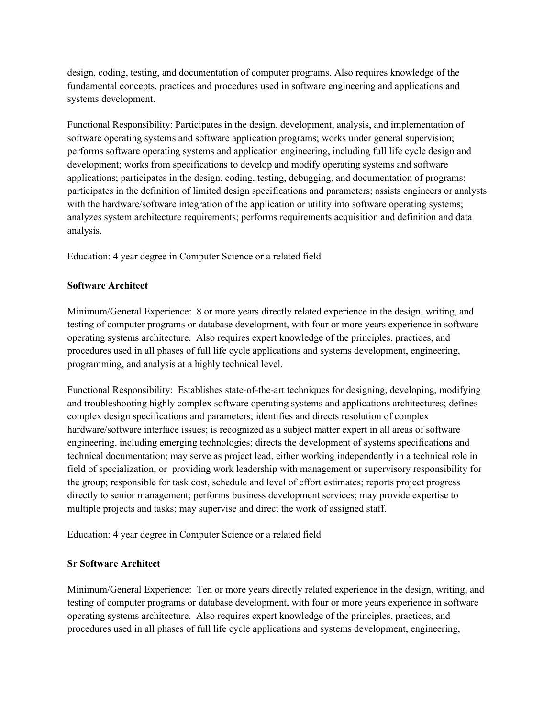design, coding, testing, and documentation of computer programs. Also requires knowledge of the fundamental concepts, practices and procedures used in software engineering and applications and systems development.

Functional Responsibility: Participates in the design, development, analysis, and implementation of software operating systems and software application programs; works under general supervision; performs software operating systems and application engineering, including full life cycle design and development; works from specifications to develop and modify operating systems and software applications; participates in the design, coding, testing, debugging, and documentation of programs; participates in the definition of limited design specifications and parameters; assists engineers or analysts with the hardware/software integration of the application or utility into software operating systems; analyzes system architecture requirements; performs requirements acquisition and definition and data analysis.

Education: 4 year degree in Computer Science or a related field

# **Software Architect**

Minimum/General Experience: 8 or more years directly related experience in the design, writing, and testing of computer programs or database development, with four or more years experience in software operating systems architecture. Also requires expert knowledge of the principles, practices, and procedures used in all phases of full life cycle applications and systems development, engineering, programming, and analysis at a highly technical level.

Functional Responsibility: Establishes state-of-the-art techniques for designing, developing, modifying and troubleshooting highly complex software operating systems and applications architectures; defines complex design specifications and parameters; identifies and directs resolution of complex hardware/software interface issues; is recognized as a subject matter expert in all areas of software engineering, including emerging technologies; directs the development of systems specifications and technical documentation; may serve as project lead, either working independently in a technical role in field of specialization, or providing work leadership with management or supervisory responsibility for the group; responsible for task cost, schedule and level of effort estimates; reports project progress directly to senior management; performs business development services; may provide expertise to multiple projects and tasks; may supervise and direct the work of assigned staff.

Education: 4 year degree in Computer Science or a related field

# **Sr Software Architect**

Minimum/General Experience: Ten or more years directly related experience in the design, writing, and testing of computer programs or database development, with four or more years experience in software operating systems architecture. Also requires expert knowledge of the principles, practices, and procedures used in all phases of full life cycle applications and systems development, engineering,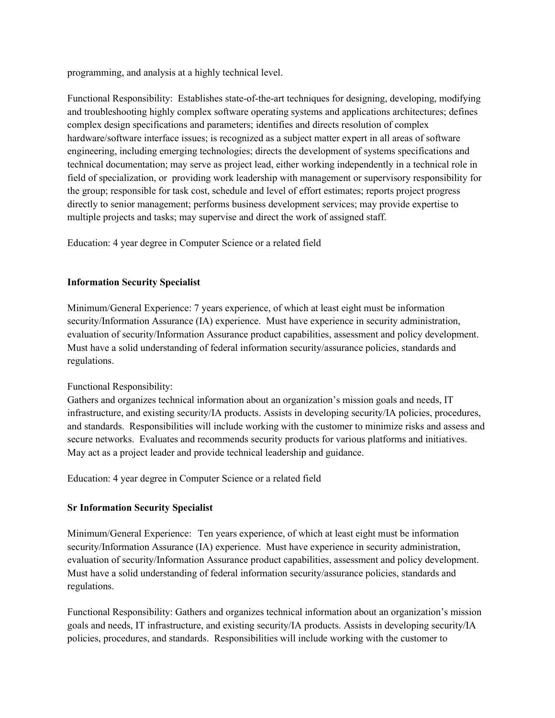programming, and analysis at a highly technical level.

Functional Responsibility: Establishes state-of-the-art techniques for designing, developing, modifying and troubleshooting highly complex software operating systems and applications architectures; defines complex design specifications and parameters; identifies and directs resolution of complex hardware/software interface issues; is recognized as a subject matter expert in all areas of software engineering, including emerging technologies; directs the development of systems specifications and technical documentation; may serve as project lead, either working independently in a technical role in field of specialization, or providing work leadership with management or supervisory responsibility for the group; responsible for task cost, schedule and level of effort estimates; reports project progress directly to senior management; performs business development services; may provide expertise to multiple projects and tasks; may supervise and direct the work of assigned staff.

Education: 4 year degree in Computer Science or a related field

# **Information Security Specialist**

Minimum/General Experience: 7 years experience, of which at least eight must be information security/Information Assurance (IA) experience. Must have experience in security administration, evaluation of security/Information Assurance product capabilities, assessment and policy development. Must have a solid understanding of federal information security/assurance policies, standards and regulations.

# Functional Responsibility:

Gathers and organizes technical information about an organization's mission goals and needs, IT infrastructure, and existing security/IA products. Assists in developing security/IA policies, procedures, and standards. Responsibilities will include working with the customer to minimize risks and assess and secure networks. Evaluates and recommends security products for various platforms and initiatives. May act as a project leader and provide technical leadership and guidance.

Education: 4 year degree in Computer Science or a related field

# **Sr Information Security Specialist**

Minimum/General Experience: Ten years experience, of which at least eight must be information security/Information Assurance (IA) experience. Must have experience in security administration, evaluation of security/Information Assurance product capabilities, assessment and policy development. Must have a solid understanding of federal information security/assurance policies, standards and regulations.

Functional Responsibility: Gathers and organizes technical information about an organization's mission goals and needs, IT infrastructure, and existing security/IA products. Assists in developing security/IA policies, procedures, and standards. Responsibilities will include working with the customer to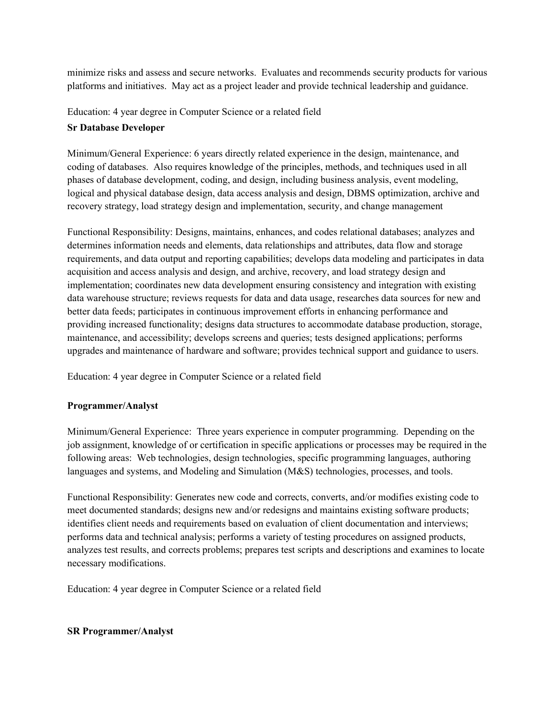minimize risks and assess and secure networks. Evaluates and recommends security products for various platforms and initiatives. May act as a project leader and provide technical leadership and guidance.

Education: 4 year degree in Computer Science or a related field

# **Sr Database Developer**

Minimum/General Experience: 6 years directly related experience in the design, maintenance, and coding of databases. Also requires knowledge of the principles, methods, and techniques used in all phases of database development, coding, and design, including business analysis, event modeling, logical and physical database design, data access analysis and design, DBMS optimization, archive and recovery strategy, load strategy design and implementation, security, and change management

Functional Responsibility: Designs, maintains, enhances, and codes relational databases; analyzes and determines information needs and elements, data relationships and attributes, data flow and storage requirements, and data output and reporting capabilities; develops data modeling and participates in data acquisition and access analysis and design, and archive, recovery, and load strategy design and implementation; coordinates new data development ensuring consistency and integration with existing data warehouse structure; reviews requests for data and data usage, researches data sources for new and better data feeds; participates in continuous improvement efforts in enhancing performance and providing increased functionality; designs data structures to accommodate database production, storage, maintenance, and accessibility; develops screens and queries; tests designed applications; performs upgrades and maintenance of hardware and software; provides technical support and guidance to users.

Education: 4 year degree in Computer Science or a related field

# **Programmer/Analyst**

Minimum/General Experience: Three years experience in computer programming. Depending on the job assignment, knowledge of or certification in specific applications or processes may be required in the following areas: Web technologies, design technologies, specific programming languages, authoring languages and systems, and Modeling and Simulation (M&S) technologies, processes, and tools.

Functional Responsibility: Generates new code and corrects, converts, and/or modifies existing code to meet documented standards; designs new and/or redesigns and maintains existing software products; identifies client needs and requirements based on evaluation of client documentation and interviews; performs data and technical analysis; performs a variety of testing procedures on assigned products, analyzes test results, and corrects problems; prepares test scripts and descriptions and examines to locate necessary modifications.

Education: 4 year degree in Computer Science or a related field

# **SR Programmer/Analyst**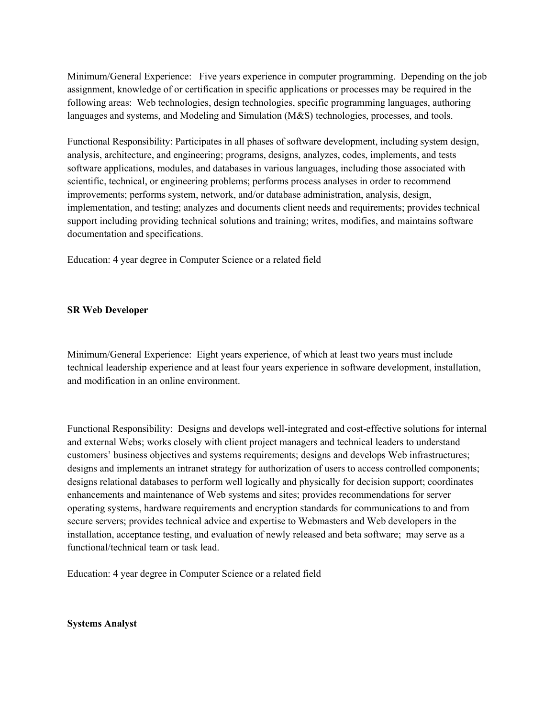Minimum/General Experience: Five years experience in computer programming. Depending on the job assignment, knowledge of or certification in specific applications or processes may be required in the following areas: Web technologies, design technologies, specific programming languages, authoring languages and systems, and Modeling and Simulation (M&S) technologies, processes, and tools.

Functional Responsibility: Participates in all phases of software development, including system design, analysis, architecture, and engineering; programs, designs, analyzes, codes, implements, and tests software applications, modules, and databases in various languages, including those associated with scientific, technical, or engineering problems; performs process analyses in order to recommend improvements; performs system, network, and/or database administration, analysis, design, implementation, and testing; analyzes and documents client needs and requirements; provides technical support including providing technical solutions and training; writes, modifies, and maintains software documentation and specifications.

Education: 4 year degree in Computer Science or a related field

### **SR Web Developer**

Minimum/General Experience: Eight years experience, of which at least two years must include technical leadership experience and at least four years experience in software development, installation, and modification in an online environment.

Functional Responsibility: Designs and develops well-integrated and cost-effective solutions for internal and external Webs; works closely with client project managers and technical leaders to understand customers' business objectives and systems requirements; designs and develops Web infrastructures; designs and implements an intranet strategy for authorization of users to access controlled components; designs relational databases to perform well logically and physically for decision support; coordinates enhancements and maintenance of Web systems and sites; provides recommendations for server operating systems, hardware requirements and encryption standards for communications to and from secure servers; provides technical advice and expertise to Webmasters and Web developers in the installation, acceptance testing, and evaluation of newly released and beta software; may serve as a functional/technical team or task lead.

Education: 4 year degree in Computer Science or a related field

**Systems Analyst**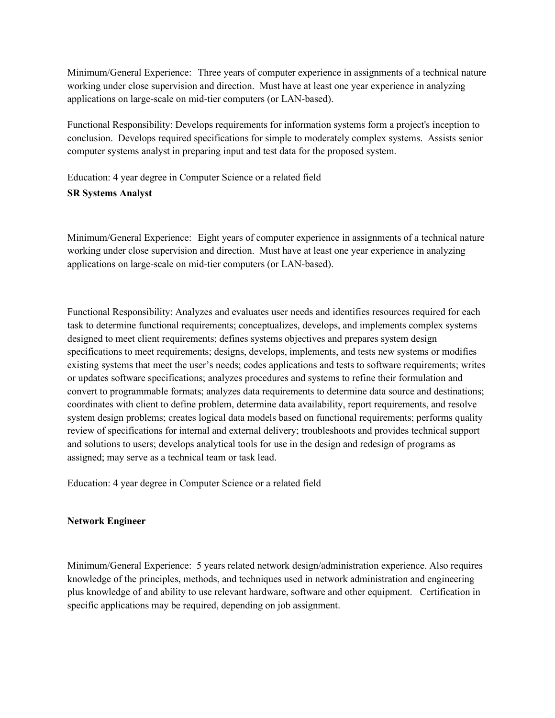Minimum/General Experience: Three years of computer experience in assignments of a technical nature working under close supervision and direction. Must have at least one year experience in analyzing applications on large-scale on mid-tier computers (or LAN-based).

Functional Responsibility: Develops requirements for information systems form a project's inception to conclusion. Develops required specifications for simple to moderately complex systems. Assists senior computer systems analyst in preparing input and test data for the proposed system.

Education: 4 year degree in Computer Science or a related field **SR Systems Analyst**

Minimum/General Experience: Eight years of computer experience in assignments of a technical nature working under close supervision and direction. Must have at least one year experience in analyzing applications on large-scale on mid-tier computers (or LAN-based).

Functional Responsibility: Analyzes and evaluates user needs and identifies resources required for each task to determine functional requirements; conceptualizes, develops, and implements complex systems designed to meet client requirements; defines systems objectives and prepares system design specifications to meet requirements; designs, develops, implements, and tests new systems or modifies existing systems that meet the user's needs; codes applications and tests to software requirements; writes or updates software specifications; analyzes procedures and systems to refine their formulation and convert to programmable formats; analyzes data requirements to determine data source and destinations; coordinates with client to define problem, determine data availability, report requirements, and resolve system design problems; creates logical data models based on functional requirements; performs quality review of specifications for internal and external delivery; troubleshoots and provides technical support and solutions to users; develops analytical tools for use in the design and redesign of programs as assigned; may serve as a technical team or task lead.

Education: 4 year degree in Computer Science or a related field

# **Network Engineer**

Minimum/General Experience: 5 years related network design/administration experience. Also requires knowledge of the principles, methods, and techniques used in network administration and engineering plus knowledge of and ability to use relevant hardware, software and other equipment. Certification in specific applications may be required, depending on job assignment.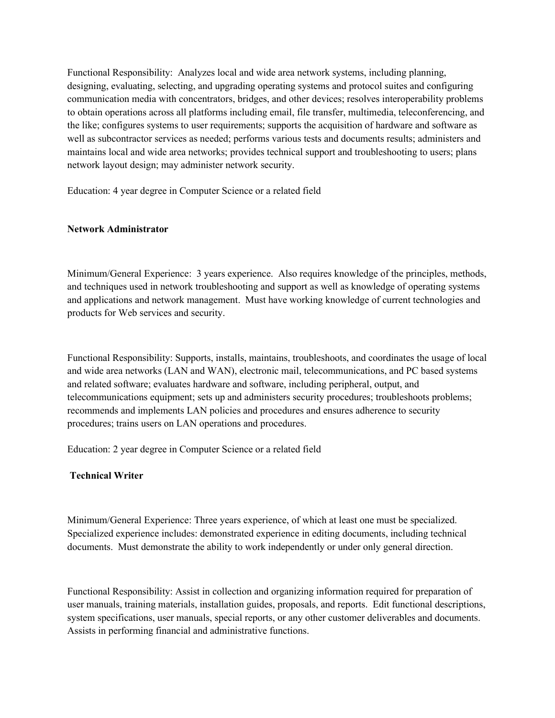Functional Responsibility: Analyzes local and wide area network systems, including planning, designing, evaluating, selecting, and upgrading operating systems and protocol suites and configuring communication media with concentrators, bridges, and other devices; resolves interoperability problems to obtain operations across all platforms including email, file transfer, multimedia, teleconferencing, and the like; configures systems to user requirements; supports the acquisition of hardware and software as well as subcontractor services as needed; performs various tests and documents results; administers and maintains local and wide area networks; provides technical support and troubleshooting to users; plans network layout design; may administer network security.

Education: 4 year degree in Computer Science or a related field

### **Network Administrator**

Minimum/General Experience: 3 years experience. Also requires knowledge of the principles, methods, and techniques used in network troubleshooting and support as well as knowledge of operating systems and applications and network management. Must have working knowledge of current technologies and products for Web services and security.

Functional Responsibility: Supports, installs, maintains, troubleshoots, and coordinates the usage of local and wide area networks (LAN and WAN), electronic mail, telecommunications, and PC based systems and related software; evaluates hardware and software, including peripheral, output, and telecommunications equipment; sets up and administers security procedures; troubleshoots problems; recommends and implements LAN policies and procedures and ensures adherence to security procedures; trains users on LAN operations and procedures.

Education: 2 year degree in Computer Science or a related field

# **Technical Writer**

Minimum/General Experience: Three years experience, of which at least one must be specialized. Specialized experience includes: demonstrated experience in editing documents, including technical documents. Must demonstrate the ability to work independently or under only general direction.

Functional Responsibility: Assist in collection and organizing information required for preparation of user manuals, training materials, installation guides, proposals, and reports. Edit functional descriptions, system specifications, user manuals, special reports, or any other customer deliverables and documents. Assists in performing financial and administrative functions.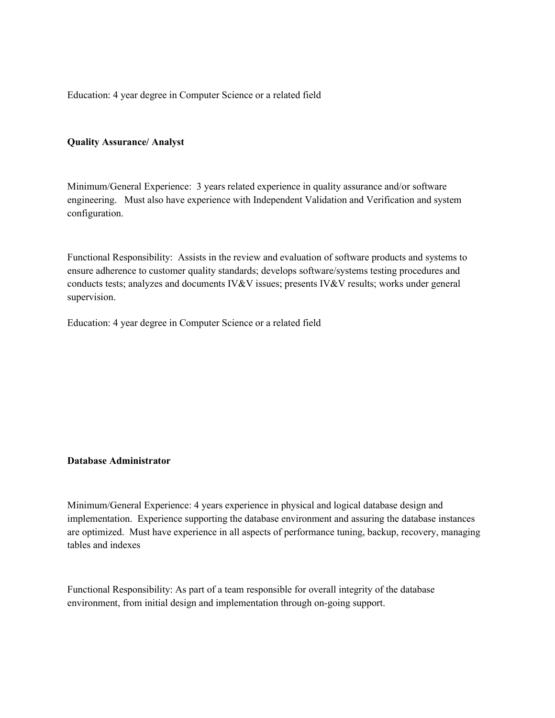Education: 4 year degree in Computer Science or a related field

#### **Quality Assurance/ Analyst**

Minimum/General Experience: 3 years related experience in quality assurance and/or software engineering. Must also have experience with Independent Validation and Verification and system configuration.

Functional Responsibility: Assists in the review and evaluation of software products and systems to ensure adherence to customer quality standards; develops software/systems testing procedures and conducts tests; analyzes and documents IV&V issues; presents IV&V results; works under general supervision.

Education: 4 year degree in Computer Science or a related field

#### **Database Administrator**

Minimum/General Experience: 4 years experience in physical and logical database design and implementation. Experience supporting the database environment and assuring the database instances are optimized. Must have experience in all aspects of performance tuning, backup, recovery, managing tables and indexes

Functional Responsibility: As part of a team responsible for overall integrity of the database environment, from initial design and implementation through on-going support.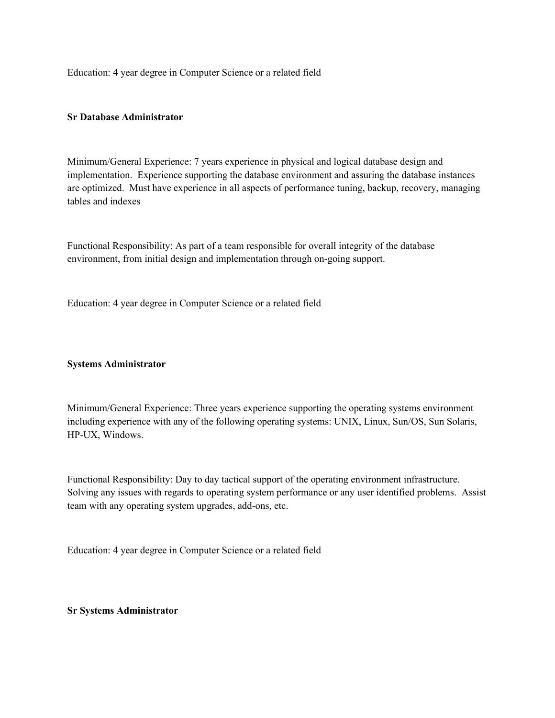Education: 4 year degree in Computer Science or a related field

# **Sr Database Administrator**

Minimum/General Experience: 7 years experience in physical and logical database design and implementation. Experience supporting the database environment and assuring the database instances are optimized. Must have experience in all aspects of performance tuning, backup, recovery, managing tables and indexes

Functional Responsibility: As part of a team responsible for overall integrity of the database environment, from initial design and implementation through on-going support.

Education: 4 year degree in Computer Science or a related field

### **Systems Administrator**

Minimum/General Experience: Three years experience supporting the operating systems environment including experience with any of the following operating systems: UNIX, Linux, Sun/OS, Sun Solaris, HP-UX, Windows.

Functional Responsibility: Day to day tactical support of the operating environment infrastructure. Solving any issues with regards to operating system performance or any user identified problems. Assist team with any operating system upgrades, add-ons, etc.

Education: 4 year degree in Computer Science or a related field

### **Sr Systems Administrator**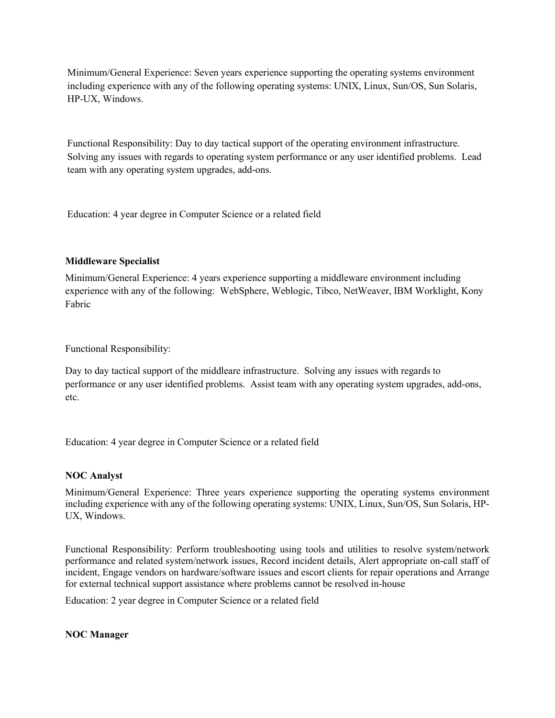Minimum/General Experience: Seven years experience supporting the operating systems environment including experience with any of the following operating systems: UNIX, Linux, Sun/OS, Sun Solaris, HP-UX, Windows.

Functional Responsibility: Day to day tactical support of the operating environment infrastructure. Solving any issues with regards to operating system performance or any user identified problems. Lead team with any operating system upgrades, add-ons.

Education: 4 year degree in Computer Science or a related field

# **Middleware Specialist**

Minimum/General Experience: 4 years experience supporting a middleware environment including experience with any of the following: WebSphere, Weblogic, Tibco, NetWeaver, IBM Worklight, Kony Fabric

Functional Responsibility:

Day to day tactical support of the middleare infrastructure. Solving any issues with regards to performance or any user identified problems. Assist team with any operating system upgrades, add-ons, etc.

Education: 4 year degree in Computer Science or a related field

# **NOC Analyst**

Minimum/General Experience: Three years experience supporting the operating systems environment including experience with any of the following operating systems: UNIX, Linux, Sun/OS, Sun Solaris, HP-UX, Windows.

Functional Responsibility: Perform troubleshooting using tools and utilities to resolve system/network performance and related system/network issues, Record incident details, Alert appropriate on-call staff of incident, Engage vendors on hardware/software issues and escort clients for repair operations and Arrange for external technical support assistance where problems cannot be resolved in-house

Education: 2 year degree in Computer Science or a related field

# **NOC Manager**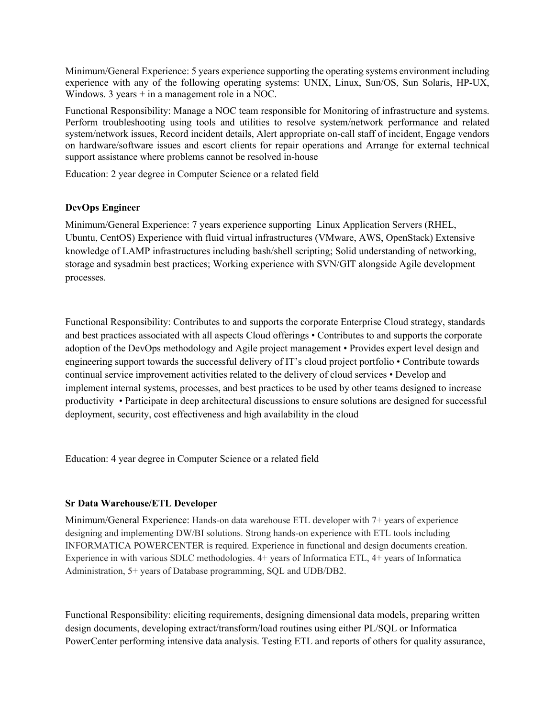Minimum/General Experience: 5 years experience supporting the operating systems environment including experience with any of the following operating systems: UNIX, Linux, Sun/OS, Sun Solaris, HP-UX, Windows. 3 years + in a management role in a NOC.

Functional Responsibility: Manage a NOC team responsible for Monitoring of infrastructure and systems. Perform troubleshooting using tools and utilities to resolve system/network performance and related system/network issues, Record incident details, Alert appropriate on-call staff of incident, Engage vendors on hardware/software issues and escort clients for repair operations and Arrange for external technical support assistance where problems cannot be resolved in-house

Education: 2 year degree in Computer Science or a related field

# **DevOps Engineer**

Minimum/General Experience: 7 years experience supporting Linux Application Servers (RHEL, Ubuntu, CentOS) Experience with fluid virtual infrastructures (VMware, AWS, OpenStack) Extensive knowledge of LAMP infrastructures including bash/shell scripting; Solid understanding of networking, storage and sysadmin best practices; Working experience with SVN/GIT alongside Agile development processes.

Functional Responsibility: Contributes to and supports the corporate Enterprise Cloud strategy, standards and best practices associated with all aspects Cloud offerings • Contributes to and supports the corporate adoption of the DevOps methodology and Agile project management • Provides expert level design and engineering support towards the successful delivery of IT's cloud project portfolio • Contribute towards continual service improvement activities related to the delivery of cloud services • Develop and implement internal systems, processes, and best practices to be used by other teams designed to increase productivity • Participate in deep architectural discussions to ensure solutions are designed for successful deployment, security, cost effectiveness and high availability in the cloud

Education: 4 year degree in Computer Science or a related field

# **Sr Data Warehouse/ETL Developer**

Minimum/General Experience: Hands-on data warehouse ETL developer with 7+ years of experience designing and implementing DW/BI solutions. Strong hands-on experience with ETL tools including INFORMATICA POWERCENTER is required. Experience in functional and design documents creation. Experience in with various SDLC methodologies. 4+ years of Informatica ETL, 4+ years of Informatica Administration, 5+ years of Database programming, SQL and UDB/DB2.

Functional Responsibility: eliciting requirements, designing dimensional data models, preparing written design documents, developing extract/transform/load routines using either PL/SQL or Informatica PowerCenter performing intensive data analysis. Testing ETL and reports of others for quality assurance,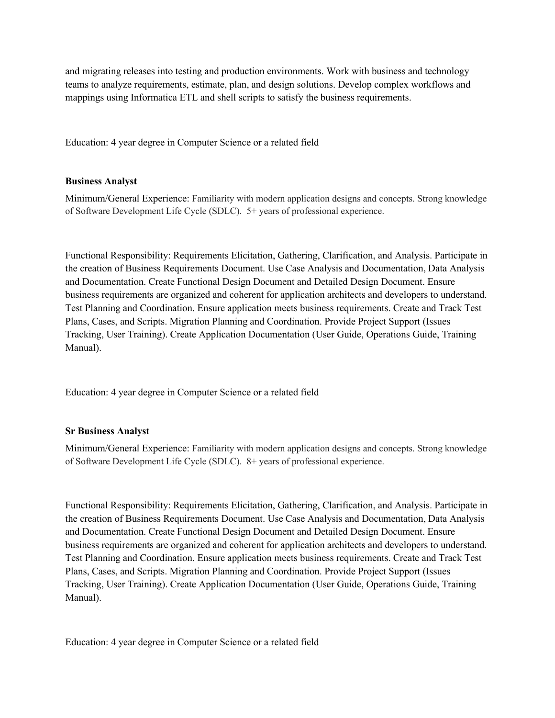and migrating releases into testing and production environments. Work with business and technology teams to analyze requirements, estimate, plan, and design solutions. Develop complex workflows and mappings using Informatica ETL and shell scripts to satisfy the business requirements.

Education: 4 year degree in Computer Science or a related field

# **Business Analyst**

Minimum/General Experience: Familiarity with modern application designs and concepts. Strong knowledge of Software Development Life Cycle (SDLC). 5+ years of professional experience.

Functional Responsibility: Requirements Elicitation, Gathering, Clarification, and Analysis. Participate in the creation of Business Requirements Document. Use Case Analysis and Documentation, Data Analysis and Documentation. Create Functional Design Document and Detailed Design Document. Ensure business requirements are organized and coherent for application architects and developers to understand. Test Planning and Coordination. Ensure application meets business requirements. Create and Track Test Plans, Cases, and Scripts. Migration Planning and Coordination. Provide Project Support (Issues Tracking, User Training). Create Application Documentation (User Guide, Operations Guide, Training Manual).

Education: 4 year degree in Computer Science or a related field

# **Sr Business Analyst**

Minimum/General Experience: Familiarity with modern application designs and concepts. Strong knowledge of Software Development Life Cycle (SDLC). 8+ years of professional experience.

Functional Responsibility: Requirements Elicitation, Gathering, Clarification, and Analysis. Participate in the creation of Business Requirements Document. Use Case Analysis and Documentation, Data Analysis and Documentation. Create Functional Design Document and Detailed Design Document. Ensure business requirements are organized and coherent for application architects and developers to understand. Test Planning and Coordination. Ensure application meets business requirements. Create and Track Test Plans, Cases, and Scripts. Migration Planning and Coordination. Provide Project Support (Issues Tracking, User Training). Create Application Documentation (User Guide, Operations Guide, Training Manual).

Education: 4 year degree in Computer Science or a related field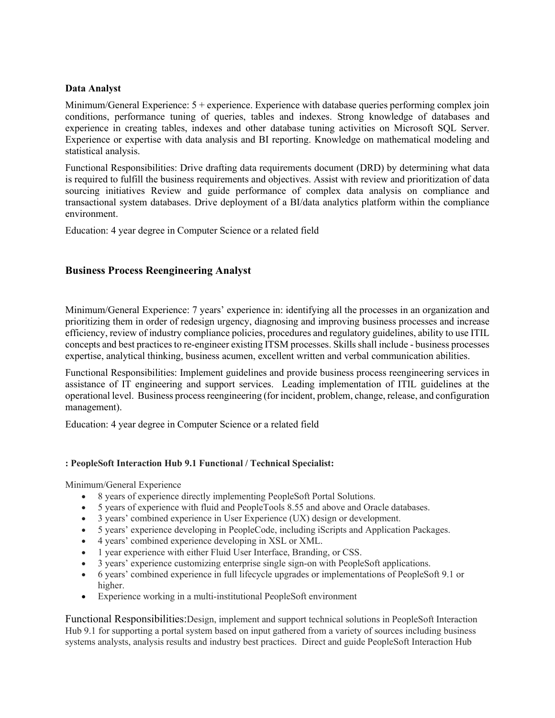### **Data Analyst**

Minimum/General Experience: 5 + experience. Experience with database queries performing complex join conditions, performance tuning of queries, tables and indexes. Strong knowledge of databases and experience in creating tables, indexes and other database tuning activities on Microsoft SQL Server. Experience or expertise with data analysis and BI reporting. Knowledge on mathematical modeling and statistical analysis.

Functional Responsibilities: Drive drafting data requirements document (DRD) by determining what data is required to fulfill the business requirements and objectives. Assist with review and prioritization of data sourcing initiatives Review and guide performance of complex data analysis on compliance and transactional system databases. Drive deployment of a BI/data analytics platform within the compliance environment.

Education: 4 year degree in Computer Science or a related field

# **Business Process Reengineering Analyst**

Minimum/General Experience: 7 years' experience in: identifying all the processes in an organization and prioritizing them in order of redesign urgency, diagnosing and improving business processes and increase efficiency, review of industry compliance policies, procedures and regulatory guidelines, ability to use ITIL concepts and best practices to re-engineer existing ITSM processes. Skills shall include - business processes expertise, analytical thinking, business acumen, excellent written and verbal communication abilities.

Functional Responsibilities: Implement guidelines and provide business process reengineering services in assistance of IT engineering and support services. Leading implementation of ITIL guidelines at the operational level. Business process reengineering (for incident, problem, change, release, and configuration management).

Education: 4 year degree in Computer Science or a related field

# **: PeopleSoft Interaction Hub 9.1 Functional / Technical Specialist:**

Minimum/General Experience

- 8 years of experience directly implementing PeopleSoft Portal Solutions.
- 5 years of experience with fluid and PeopleTools 8.55 and above and Oracle databases.
- 3 years' combined experience in User Experience (UX) design or development.
- 5 years' experience developing in PeopleCode, including iScripts and Application Packages.
- 4 years' combined experience developing in XSL or XML.
- 1 year experience with either Fluid User Interface, Branding, or CSS.
- 3 years' experience customizing enterprise single sign-on with PeopleSoft applications.
- 6 years' combined experience in full lifecycle upgrades or implementations of PeopleSoft 9.1 or higher.
- Experience working in a multi-institutional PeopleSoft environment

Functional Responsibilities:Design, implement and support technical solutions in PeopleSoft Interaction Hub 9.1 for supporting a portal system based on input gathered from a variety of sources including business systems analysts, analysis results and industry best practices. Direct and guide PeopleSoft Interaction Hub